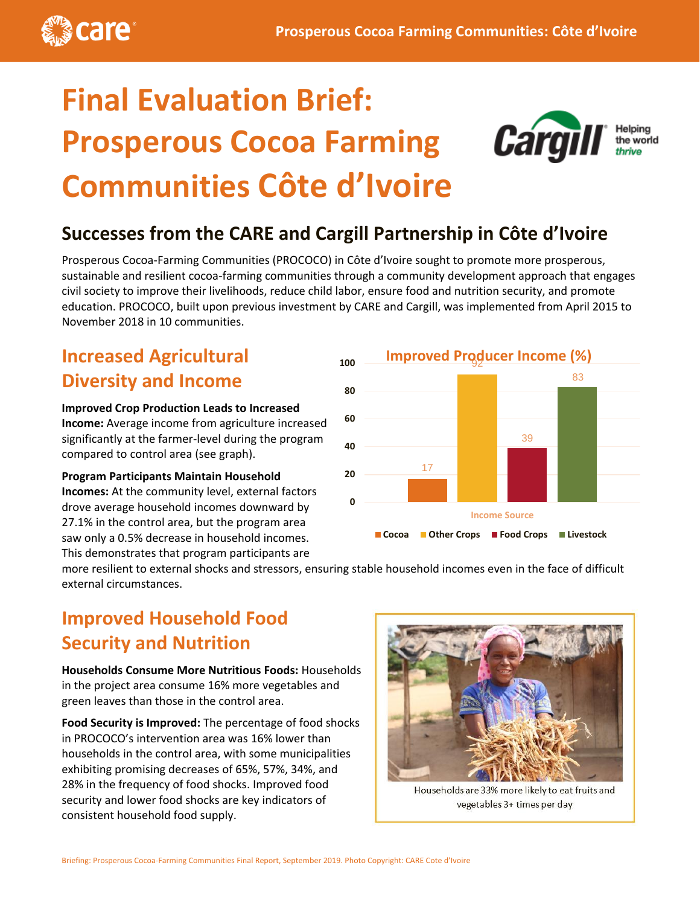

# **Final Evaluation Brief: Prosperous Cocoa Farming Communities Côte d'Ivoire**



### **Successes from the CARE and Cargill Partnership in Côte d'Ivoire**

Prosperous Cocoa-Farming Communities (PROCOCO) in Côte d'Ivoire sought to promote more prosperous, sustainable and resilient cocoa-farming communities through a community development approach that engages civil society to improve their livelihoods, reduce child labor, ensure food and nutrition security, and promote education. PROCOCO, built upon previous investment by CARE and Cargill, was implemented from April 2015 to November 2018 in 10 communities.

### **Increased Agricultural Diversity and Income**

**Improved Crop Production Leads to Increased Income:** Average income from agriculture increased significantly at the farmer-level during the program compared to control area (see graph).

**Program Participants Maintain Household Incomes:** At the community level, external factors drove average household incomes downward by 27.1% in the control area, but the program area saw only a 0.5% decrease in household incomes. This demonstrates that program participants are



more resilient to external shocks and stressors, ensuring stable household incomes even in the face of difficult external circumstances.

### **Improved Household Food Security and Nutrition**

**Households Consume More Nutritious Foods:** Households in the project area consume 16% more vegetables and green leaves than those in the control area.

**Food Security is Improved:** The percentage of food shocks in PROCOCO's intervention area was 16% lower than households in the control area, with some municipalities exhibiting promising decreases of 65%, 57%, 34%, and 28% in the frequency of food shocks. Improved food security and lower food shocks are key indicators of consistent household food supply.



Households are 33% more likely to eat fruits and vegetables 3+ times per day